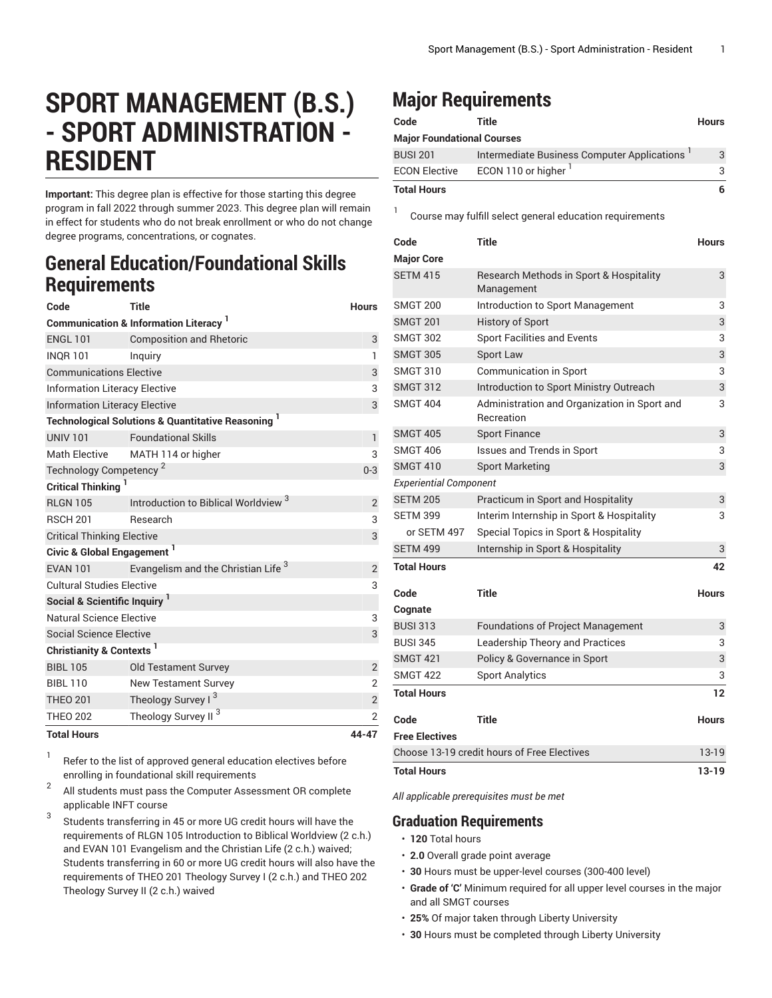# **SPORT MANAGEMENT (B.S.) - SPORT ADMINISTRATION - RESIDENT**

**Important:** This degree plan is effective for those starting this degree program in fall 2022 through summer 2023. This degree plan will remain in effect for students who do not break enrollment or who do not change degree programs, concentrations, or cognates.

### **General Education/Foundational Skills Requirements**

| Code                                                          | <b>Title</b>                                    | <b>Hours</b>   |  |  |
|---------------------------------------------------------------|-------------------------------------------------|----------------|--|--|
| <b>Communication &amp; Information Literacy</b>               |                                                 |                |  |  |
| <b>ENGL 101</b>                                               | <b>Composition and Rhetoric</b>                 | 3              |  |  |
| <b>INQR101</b>                                                | Inquiry                                         | $\mathbf{1}$   |  |  |
| <b>Communications Elective</b>                                | 3                                               |                |  |  |
| <b>Information Literacy Elective</b>                          | 3                                               |                |  |  |
| <b>Information Literacy Elective</b>                          | 3                                               |                |  |  |
| <b>Technological Solutions &amp; Quantitative Reasoning 1</b> |                                                 |                |  |  |
| <b>UNIV 101</b>                                               | <b>Foundational Skills</b>                      | $\mathsf{I}$   |  |  |
| <b>Math Elective</b>                                          | MATH 114 or higher                              | 3              |  |  |
| Technology Competency <sup>2</sup>                            | $0 - 3$                                         |                |  |  |
| Critical Thinking                                             |                                                 |                |  |  |
| <b>RI GN 105</b>                                              | Introduction to Biblical Worldview <sup>3</sup> | 2              |  |  |
| <b>RSCH 201</b>                                               | Research                                        | 3              |  |  |
| <b>Critical Thinking Elective</b>                             | 3                                               |                |  |  |
| Civic & Global Engagement <sup>1</sup>                        |                                                 |                |  |  |
| <b>EVAN 101</b>                                               | Evangelism and the Christian Life <sup>3</sup>  | $\sqrt{2}$     |  |  |
| <b>Cultural Studies Elective</b>                              |                                                 |                |  |  |
| Social & Scientific Inquiry <sup>1</sup>                      |                                                 |                |  |  |
| Natural Science Elective                                      |                                                 |                |  |  |
| Social Science Elective                                       |                                                 | 3              |  |  |
| Christianity & Contexts <sup>1</sup>                          |                                                 |                |  |  |
| <b>BIBL 105</b>                                               | <b>Old Testament Survey</b>                     | $\overline{2}$ |  |  |
| <b>BIBL 110</b>                                               | <b>New Testament Survey</b>                     | $\overline{2}$ |  |  |
| <b>THEO 201</b>                                               | Theology Survey I <sup>3</sup>                  | $\overline{2}$ |  |  |
| <b>THEO 202</b>                                               | Theology Survey II <sup>3</sup>                 | $\overline{2}$ |  |  |
| <b>Total Hours</b>                                            |                                                 | 44-47          |  |  |

1 Refer to the list of approved general [education](https://www.liberty.edu/gened/) electives before enrolling in foundational skill requirements

2 All students must pass the [Computer Assessment](https://www.liberty.edu/computerassessment/) OR complete applicable INFT course

3 Students transferring in 45 or more UG credit hours will have the requirements of RLGN 105 Introduction to Biblical Worldview (2 c.h.) and EVAN 101 Evangelism and the Christian Life (2 c.h.) waived; Students transferring in 60 or more UG credit hours will also have the requirements of THEO 201 Theology Survey I (2 c.h.) and THEO 202 Theology Survey II (2 c.h.) waived

## **Major Requirements**

1

| Code                              | Title                                       | <b>Hours</b> |
|-----------------------------------|---------------------------------------------|--------------|
| <b>Major Foundational Courses</b> |                                             |              |
| <b>BUSI 201</b>                   | Intermediate Business Computer Applications | 3            |
| <b>ECON Elective</b>              | ECON 110 or higher <sup>1</sup>             | 3            |
| <b>Total Hours</b>                |                                             | 6            |

Course may fulfill select general education [requirements](http://www.liberty.edu/academics/generalstudies/?PID=37563)

| Code                                        | <b>Title</b>                                               | <b>Hours</b> |
|---------------------------------------------|------------------------------------------------------------|--------------|
| <b>Major Core</b>                           |                                                            |              |
| <b>SETM 415</b>                             | Research Methods in Sport & Hospitality<br>Management      | 3            |
| <b>SMGT 200</b>                             | Introduction to Sport Management                           | 3            |
| <b>SMGT 201</b>                             | <b>History of Sport</b>                                    | 3            |
| <b>SMGT 302</b>                             | Sport Facilities and Events                                | 3            |
| <b>SMGT 305</b>                             | Sport Law                                                  | 3            |
| <b>SMGT 310</b>                             | <b>Communication in Sport</b>                              | 3            |
| <b>SMGT 312</b>                             | Introduction to Sport Ministry Outreach                    | 3            |
| <b>SMGT 404</b>                             | Administration and Organization in Sport and<br>Recreation | 3            |
| <b>SMGT 405</b>                             | <b>Sport Finance</b>                                       | 3            |
| <b>SMGT 406</b>                             | Issues and Trends in Sport                                 | 3            |
| <b>SMGT 410</b>                             | <b>Sport Marketing</b>                                     | 3            |
| <b>Experiential Component</b>               |                                                            |              |
| <b>SETM 205</b>                             | Practicum in Sport and Hospitality                         | 3            |
| <b>SETM 399</b>                             | Interim Internship in Sport & Hospitality                  | 3            |
| or SETM 497                                 | Special Topics in Sport & Hospitality                      |              |
| <b>SETM 499</b>                             | Internship in Sport & Hospitality                          | 3            |
| <b>Total Hours</b>                          |                                                            | 42           |
| Code                                        | <b>Title</b>                                               | Hours        |
| Cognate                                     |                                                            |              |
| <b>BUSI 313</b>                             | <b>Foundations of Project Management</b>                   | 3            |
| <b>BUSI 345</b>                             | Leadership Theory and Practices                            | 3            |
| <b>SMGT 421</b>                             | Policy & Governance in Sport                               | 3            |
| <b>SMGT 422</b>                             | <b>Sport Analytics</b>                                     | 3            |
| <b>Total Hours</b>                          |                                                            | 12           |
| Code                                        | Title                                                      | Hours        |
| <b>Free Electives</b>                       |                                                            |              |
| Choose 13-19 credit hours of Free Electives |                                                            | 13-19        |
| <b>Total Hours</b>                          |                                                            | 13-19        |

*All applicable prerequisites must be met*

### **Graduation Requirements**

- **120** Total hours
- **2.0** Overall grade point average
- **30** Hours must be upper-level courses (300-400 level)
- **Grade of 'C'** Minimum required for all upper level courses in the major and all SMGT courses
- **25%** Of major taken through Liberty University
- **30** Hours must be completed through Liberty University